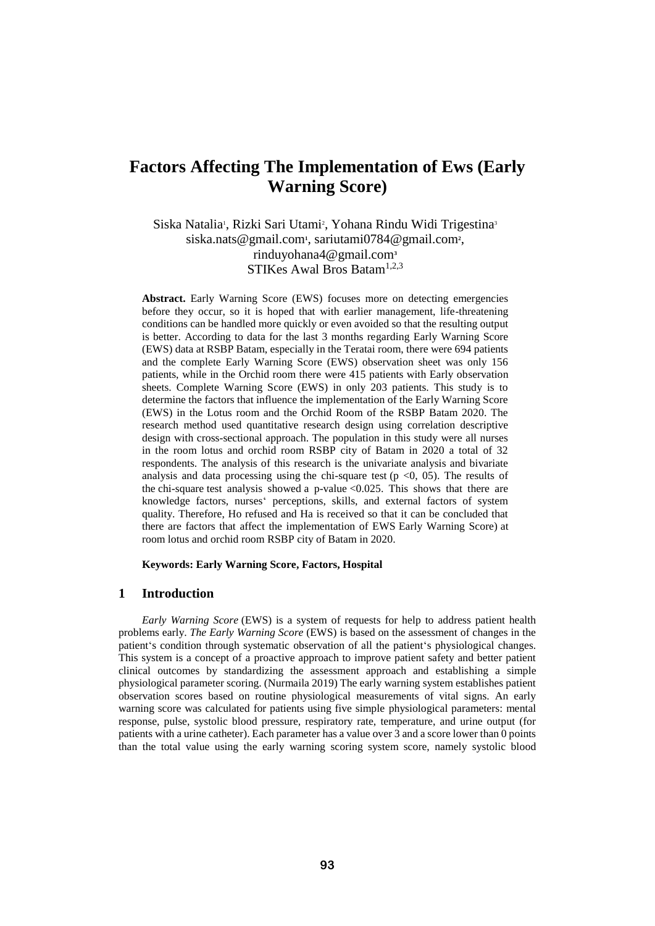# **Factors Affecting The Implementation of Ews (Early Warning Score)**

Siska Natalia<sup>1</sup>, Rizki Sari Utami<sup>2</sup>, Yohana Rindu Widi Trigestina<sup>3</sup> siska.nats@gmail.com<sup>1</sup>, sariutami0784@gmail.com<sup>2</sup>, rinduyohana4@gmail.com**<sup>3</sup>** STIKes Awal Bros Batam<sup>1,2,3</sup>

**Abstract.** Early Warning Score (EWS) focuses more on detecting emergencies before they occur, so it is hoped that with earlier management, life-threatening conditions can be handled more quickly or even avoided so that the resulting output is better. According to data for the last 3 months regarding Early Warning Score (EWS) data at RSBP Batam, especially in the Teratai room, there were 694 patients and the complete Early Warning Score (EWS) observation sheet was only 156 patients, while in the Orchid room there were 415 patients with Early observation sheets. Complete Warning Score (EWS) in only 203 patients. This study is to determine the factors that influence the implementation of the Early Warning Score (EWS) in the Lotus room and the Orchid Room of the RSBP Batam 2020. The research method used quantitative research design using correlation descriptive design with cross-sectional approach. The population in this study were all nurses in the room lotus and orchid room RSBP city of Batam in 2020 a total of 32 respondents. The analysis of this research is the univariate analysis and bivariate analysis and data processing using the chi-square test ( $p \le 0$ , 05). The results of the chi-square test analysis showed a p-value  $< 0.025$ . This shows that there are knowledge factors, nurses' perceptions, skills, and external factors of system quality. Therefore, Ho refused and Ha is received so that it can be concluded that there are factors that affect the implementation of EWS Early Warning Score) at room lotus and orchid room RSBP city of Batam in 2020.

**Keywords: Early Warning Score, Factors, Hospital**

#### **1 Introduction**

*Early Warning Score* (EWS) is a system of requests for help to address patient health problems early. *The Early Warning Score* (EWS) is based on the assessment of changes in the patient's condition through systematic observation of all the patient's physiological changes. This system is a concept of a proactive approach to improve patient safety and better patient clinical outcomes by standardizing the assessment approach and establishing a simple physiological parameter scoring. (Nurmaila 2019) The early warning system establishes patient observation scores based on routine physiological measurements of vital signs. An early warning score was calculated for patients using five simple physiological parameters: mental response, pulse, systolic blood pressure, respiratory rate, temperature, and urine output (for patients with a urine catheter). Each parameter has a value over 3 and a score lower than 0 points than the total value using the early warning scoring system score, namely systolic blood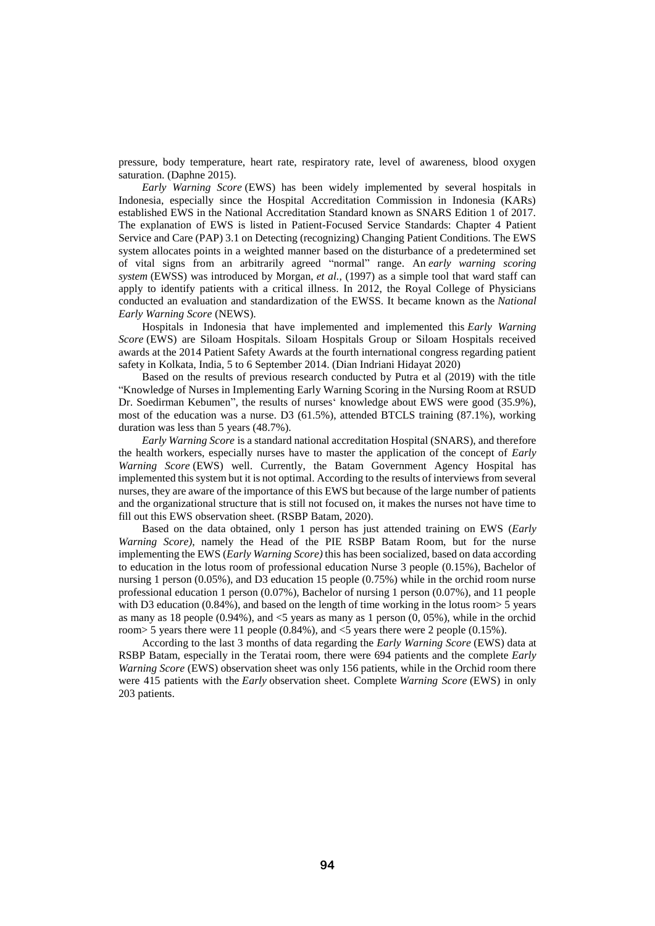pressure, body temperature, heart rate, respiratory rate, level of awareness, blood oxygen saturation. (Daphne 2015).

*Early Warning Score* (EWS) has been widely implemented by several hospitals in Indonesia, especially since the Hospital Accreditation Commission in Indonesia (KARs) established EWS in the National Accreditation Standard known as SNARS Edition 1 of 2017. The explanation of EWS is listed in Patient-Focused Service Standards: Chapter 4 Patient Service and Care (PAP) 3.1 on Detecting (recognizing) Changing Patient Conditions. The EWS system allocates points in a weighted manner based on the disturbance of a predetermined set of vital signs from an arbitrarily agreed "normal" range. An *early warning scoring system* (EWSS) was introduced by Morgan, *et al.*, (1997) as a simple tool that ward staff can apply to identify patients with a critical illness. In 2012, the Royal College of Physicians conducted an evaluation and standardization of the EWSS. It became known as the *National Early Warning Score* (NEWS).

Hospitals in Indonesia that have implemented and implemented this *Early Warning Score* (EWS) are Siloam Hospitals. Siloam Hospitals Group or Siloam Hospitals received awards at the 2014 Patient Safety Awards at the fourth international congress regarding patient safety in Kolkata, India, 5 to 6 September 2014. (Dian Indriani Hidayat 2020)

Based on the results of previous research conducted by Putra et al (2019) with the title "Knowledge of Nurses in Implementing Early Warning Scoring in the Nursing Room at RSUD Dr. Soedirman Kebumen", the results of nurses' knowledge about EWS were good (35.9%), most of the education was a nurse. D3 (61.5%), attended BTCLS training (87.1%), working duration was less than 5 years (48.7%).

*Early Warning Score* is a standard national accreditation Hospital (SNARS), and therefore the health workers, especially nurses have to master the application of the concept of *Early Warning Score* (EWS) well. Currently, the Batam Government Agency Hospital has implemented this system but it is not optimal. According to the results of interviews from several nurses, they are aware of the importance of this EWS but because of the large number of patients and the organizational structure that is still not focused on, it makes the nurses not have time to fill out this EWS observation sheet. (RSBP Batam, 2020).

Based on the data obtained, only 1 person has just attended training on EWS (*Early Warning Score)*, namely the Head of the PIE RSBP Batam Room, but for the nurse implementing the EWS (*Early Warning Score)* this has been socialized, based on data according to education in the lotus room of professional education Nurse 3 people (0.15%), Bachelor of nursing 1 person (0.05%), and D3 education 15 people (0.75%) while in the orchid room nurse professional education 1 person (0.07%), Bachelor of nursing 1 person (0.07%), and 11 people with D3 education  $(0.84\%)$ , and based on the length of time working in the lotus room  $> 5$  years as many as 18 people  $(0.94\%)$ , and  $\lt 5$  years as many as 1 person  $(0, 05\%)$ , while in the orchid room> 5 years there were 11 people (0.84%), and <5 years there were 2 people (0.15%).

According to the last 3 months of data regarding the *Early Warning Score* (EWS) data at RSBP Batam, especially in the Teratai room, there were 694 patients and the complete *Early Warning Score* (EWS) observation sheet was only 156 patients, while in the Orchid room there were 415 patients with the *Early* observation sheet. Complete *Warning Score* (EWS) in only 203 patients.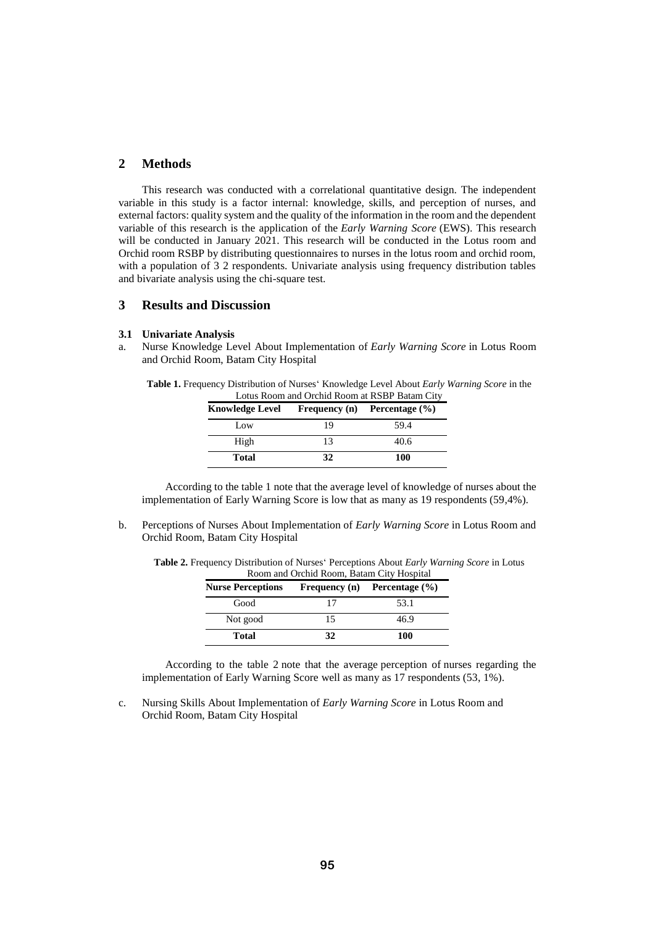# **2 Methods**

This research was conducted with a correlational quantitative design. The independent variable in this study is a factor internal: knowledge, skills, and perception of nurses, and external factors: quality system and the quality of the information in the room and the dependent variable of this research is the application of the *Early Warning Score* (EWS). This research will be conducted in January 2021. This research will be conducted in the Lotus room and Orchid room RSBP by distributing questionnaires to nurses in the lotus room and orchid room, with a population of 3 2 respondents. Univariate analysis using frequency distribution tables and bivariate analysis using the chi-square test.

# **3 Results and Discussion**

#### **3.1 Univariate Analysis**

a. Nurse Knowledge Level About Implementation of *Early Warning Score* in Lotus Room and Orchid Room, Batam City Hospital

| <b>Table 1.</b> Frequency Distribution of Nurses' Knowledge Level About <i>Early Warning Score</i> in the |  |  |
|-----------------------------------------------------------------------------------------------------------|--|--|
| Lotus Room and Orchid Room at RSBP Batam City                                                             |  |  |

| Knowledge Level | <b>Frequency</b> (n) | Percentage $(\% )$ |
|-----------------|----------------------|--------------------|
| Low             | 19                   | 59.4               |
| High            | 13                   | 40.6               |
| <b>Total</b>    | 32                   | <b>100</b>         |

According to the table 1 note that the average level of knowledge of nurses about the implementation of Early Warning Score is low that as many as 19 respondents (59,4%).

b. Perceptions of Nurses About Implementation of *Early Warning Score* in Lotus Room and Orchid Room, Batam City Hospital

| <b>Nurse Perceptions</b> |    | Frequency (n) Percentage $(\% )$ |
|--------------------------|----|----------------------------------|
| Good                     |    | 53.1                             |
| Not good                 | 15 | 46.9                             |
| Total                    | 32 | 100                              |

**Table 2.** Frequency Distribution of Nurses' Perceptions About *Early Warning Score* in Lotus Room and Orchid Room, Batam City Hospital

According to the table 2 note that the average perception of nurses regarding the implementation of Early Warning Score well as many as 17 respondents (53, 1%).

c. Nursing Skills About Implementation of *Early Warning Score* in Lotus Room and Orchid Room, Batam City Hospital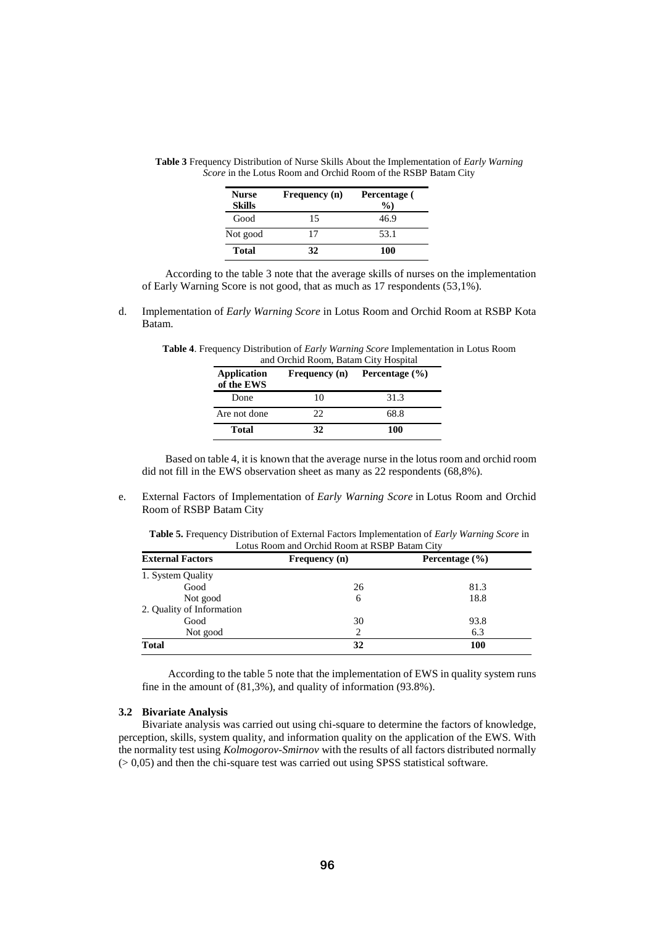| <b>Nurse</b><br><b>Skills</b> | Frequency (n) | Percentage (<br>$\%$ |
|-------------------------------|---------------|----------------------|
| Good                          | 15            | 46.9                 |
| Not good                      | 17            | 53.1                 |
| <b>Total</b>                  | 32            | 100                  |

**Table 3** Frequency Distribution of Nurse Skills About the Implementation of *Early Warning Score* in the Lotus Room and Orchid Room of the RSBP Batam City

According to the table 3 note that the average skills of nurses on the implementation of Early Warning Score is not good, that as much as 17 respondents (53,1%).

d. Implementation of *Early Warning Score* in Lotus Room and Orchid Room at RSBP Kota Batam.

| <b>Table 4.</b> Frequency Distribution of <i>Early Warning Score</i> Implementation in Lotus Room |                                      |  |  |  |
|---------------------------------------------------------------------------------------------------|--------------------------------------|--|--|--|
|                                                                                                   | and Orchid Room, Batam City Hospital |  |  |  |

| <b>Application</b><br>of the EWS | Frequency (n) | Percentage $(\% )$ |
|----------------------------------|---------------|--------------------|
| Done                             | 10            | 31.3               |
| Are not done                     | 22            | 68.8               |
| Total                            | 32            | 100                |

Based on table 4, it is known that the average nurse in the lotus room and orchid room did not fill in the EWS observation sheet as many as 22 respondents (68,8%).

e. External Factors of Implementation of *Early Warning Score* in Lotus Room and Orchid Room of RSBP Batam City

| Table 5. Frequency Distribution of External Factors Implementation of <i>Early Warning Score</i> in |  |
|-----------------------------------------------------------------------------------------------------|--|
| Lotus Room and Orchid Room at RSBP Batam City                                                       |  |

| <b>External Factors</b>   | Frequency (n) | Percentage $(\% )$ |
|---------------------------|---------------|--------------------|
| 1. System Quality         |               |                    |
| Good                      | 26            | 81.3               |
| Not good                  | 6             | 18.8               |
| 2. Quality of Information |               |                    |
| Good                      | 30            | 93.8               |
| Not good                  | 2             | 6.3                |
| <b>Total</b>              | 32            | <b>100</b>         |

According to the table 5 note that the implementation of EWS in quality system runs fine in the amount of (81,3%), and quality of information (93.8%).

#### **3.2 Bivariate Analysis**

Bivariate analysis was carried out using chi-square to determine the factors of knowledge, perception, skills, system quality, and information quality on the application of the EWS. With the normality test using *Kolmogorov-Smirnov* with the results of all factors distributed normally (> 0,05) and then the chi-square test was carried out using SPSS statistical software.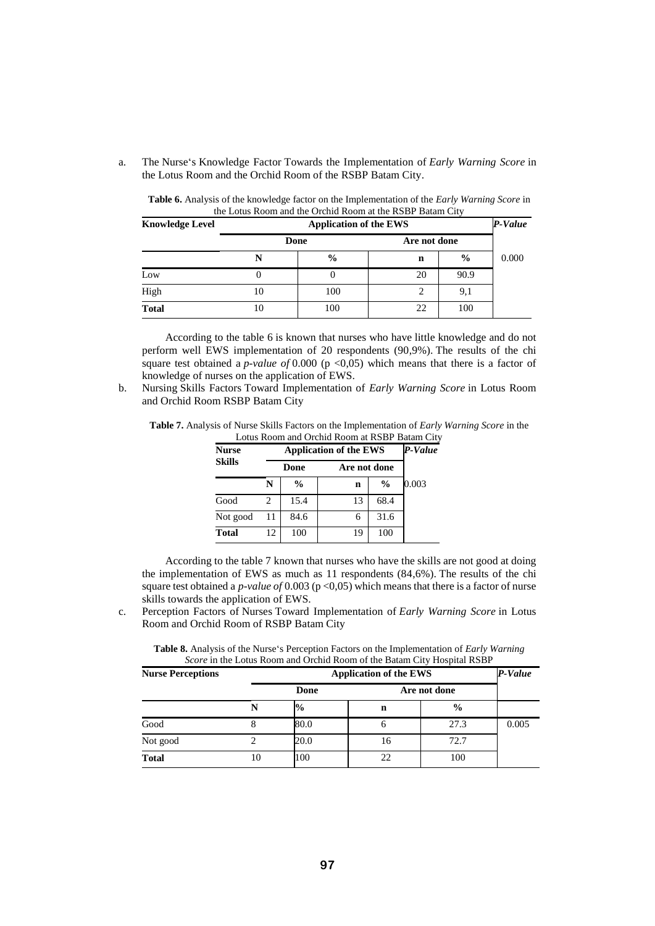a. The Nurse's Knowledge Factor Towards the Implementation of *Early Warning Score* in the Lotus Room and the Orchid Room of the RSBP Batam City.

| Table 6. Analysis of the knowledge factor on the Implementation of the <i>Early Warning Score</i> in |  |
|------------------------------------------------------------------------------------------------------|--|
| the Lotus Room and the Orchid Room at the RSBP Batam City                                            |  |

| <b>Knowledge Level</b> | <b>Application of the EWS</b> |      |              |               |       |
|------------------------|-------------------------------|------|--------------|---------------|-------|
|                        |                               | Done | Are not done |               |       |
|                        | N                             | $\%$ | n            | $\frac{6}{9}$ | 0.000 |
| Low                    |                               |      | 20           | 90.9          |       |
| High                   | 10                            | 100  | ∍            | 9,1           |       |
| <b>Total</b>           | 10                            | 100  | 22           | 100           |       |

According to the table 6 is known that nurses who have little knowledge and do not perform well EWS implementation of 20 respondents (90,9%). The results of the chi square test obtained a *p-value of* 0.000 (p <0,05) which means that there is a factor of knowledge of nurses on the application of EWS.

b. Nursing Skills Factors Toward Implementation of *Early Warning Score* in Lotus Room and Orchid Room RSBP Batam City

| <b>Table 7.</b> Analysis of Nurse Skills Factors on the Implementation of <i>Early Warning Score</i> in the |  |
|-------------------------------------------------------------------------------------------------------------|--|
| Lotus Room and Orchid Room at RSBP Batam City                                                               |  |

| <b>Nurse</b>  |    | <b>Application of the EWS</b> |    |               |       |  |  |
|---------------|----|-------------------------------|----|---------------|-------|--|--|
| <b>Skills</b> |    | Are not done<br>Done          |    |               |       |  |  |
|               | N  | $\frac{0}{0}$                 | n  | $\frac{0}{0}$ | 0.003 |  |  |
| Good          | 2  | 15.4                          | 13 | 68.4          |       |  |  |
| Not good      | 11 | 84.6                          | 6  | 31.6          |       |  |  |
| <b>Total</b>  | 12 | 100                           | 19 | 100           |       |  |  |

According to the table 7 known that nurses who have the skills are not good at doing the implementation of EWS as much as 11 respondents (84,6%). The results of the chi square test obtained a *p-value of* 0.003 (p <0,05) which means that there is a factor of nurse skills towards the application of EWS.

c. Perception Factors of Nurses Toward Implementation of *Early Warning Score* in Lotus Room and Orchid Room of RSBP Batam City

| Score in the Lotus Room and Orchid Room of the Batam City Hospital RSBP |  |                               |              |      |       |  |  |
|-------------------------------------------------------------------------|--|-------------------------------|--------------|------|-------|--|--|
| <b>Nurse Perceptions</b>                                                |  | <b>Application of the EWS</b> |              |      |       |  |  |
|                                                                         |  | Done                          | Are not done |      |       |  |  |
|                                                                         |  | $\frac{6}{9}$                 | n            | $\%$ |       |  |  |
| Good                                                                    |  | 80.0                          |              | 27.3 | 0.005 |  |  |
| Not good                                                                |  | 20.0                          | I O          | 72.7 |       |  |  |

**Table 8.** Analysis of the Nurse's Perception Factors on the Implementation of *Early Warning Score* in the Lotus Room and Orchid Room of the Batam City Hospital RSBP

**Total** 10 100 22 100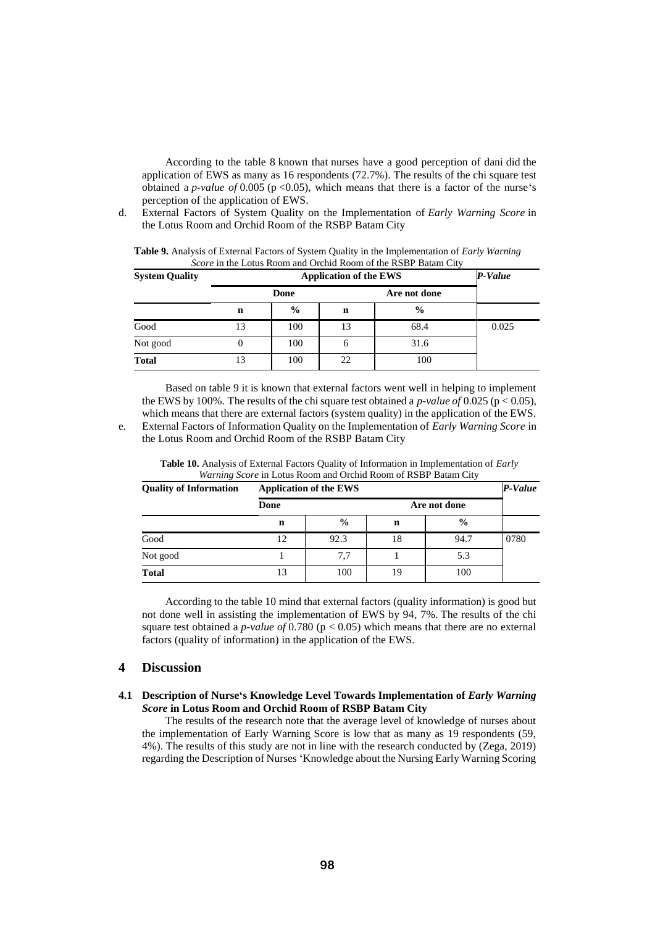According to the table 8 known that nurses have a good perception of dani did the application of EWS as many as 16 respondents (72.7%). The results of the chi square test obtained a *p-value of* 0.005 ( $p < 0.05$ ), which means that there is a factor of the nurse's perception of the application of EWS.

d. External Factors of System Quality on the Implementation of *Early Warning Score* in the Lotus Room and Orchid Room of the RSBP Batam City

| <b>System Quality</b> |                      | P-Value       |    |               |       |
|-----------------------|----------------------|---------------|----|---------------|-------|
|                       | Are not done<br>Done |               |    |               |       |
|                       | n                    | $\frac{0}{0}$ | n  | $\frac{6}{6}$ |       |
| Good                  | 13                   | 100           | 13 | 68.4          | 0.025 |
| Not good              | 0                    | 100           | O  | 31.6          |       |
| <b>Total</b>          | 13                   | 100           | 22 | 100           |       |

**Table 9.** Analysis of External Factors of System Quality in the Implementation of *Early Warning Score* in the Lotus Room and Orchid Room of the RSBP Batam City

Based on table 9 it is known that external factors went well in helping to implement the EWS by 100%. The results of the chi square test obtained a *p-value of* 0.025 ( $p < 0.05$ ), which means that there are external factors (system quality) in the application of the EWS. e. External Factors of Information Quality on the Implementation of *Early Warning Score* in the Lotus Room and Orchid Room of the RSBP Batam City

| <b>Quality of Information</b> | <b>Application of the EWS</b> | P-Value       |              |               |      |
|-------------------------------|-------------------------------|---------------|--------------|---------------|------|
|                               | Done                          |               | Are not done |               |      |
|                               | n                             | $\frac{0}{0}$ | n            | $\frac{0}{0}$ |      |
| Good                          | 12                            | 92.3          | 18           | 94.7          | 0780 |
| Not good                      |                               | 7.7           |              | 5.3           |      |
| <b>Total</b>                  | 13                            | 100           | 19           | 100           |      |

**Table 10.** Analysis of External Factors Quality of Information in Implementation of *Early Warning Score* in Lotus Room and Orchid Room of RSBP Batam City

According to the table 10 mind that external factors (quality information) is good but not done well in assisting the implementation of EWS by 94, 7%. The results of the chi square test obtained a *p-value of* 0.780 (p < 0.05) which means that there are no external factors (quality of information) in the application of the EWS.

# **4 Discussion**

#### **4.1 Description of Nurse's Knowledge Level Towards Implementation of** *Early Warning Score* **in Lotus Room and Orchid Room of RSBP Batam City**

The results of the research note that the average level of knowledge of nurses about the implementation of Early Warning Score is low that as many as 19 respondents (59, 4%). The results of this study are not in line with the research conducted by (Zega, 2019) regarding the Description of Nurses 'Knowledge about the Nursing Early Warning Scoring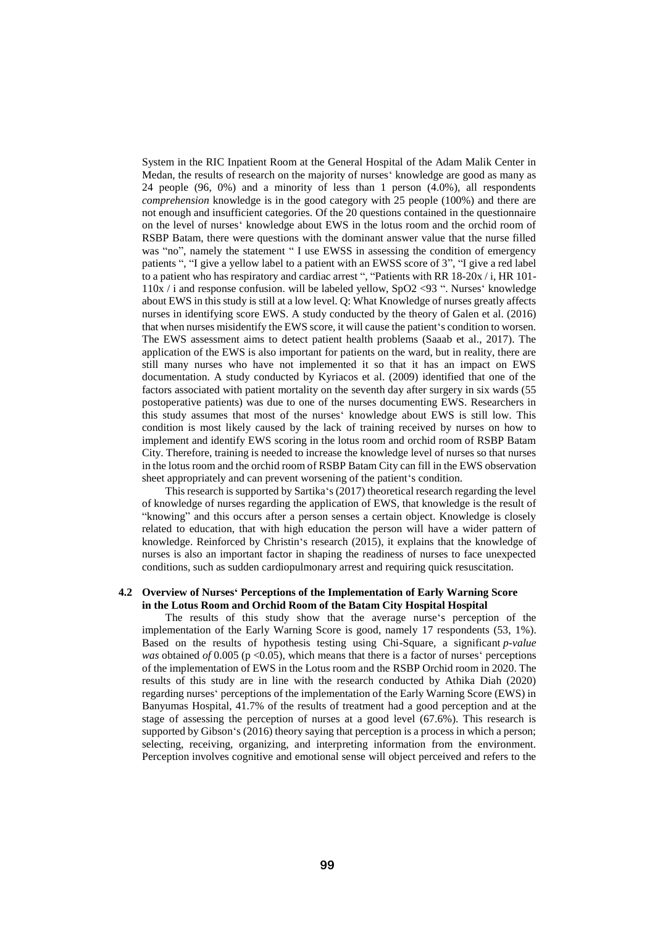System in the RIC Inpatient Room at the General Hospital of the Adam Malik Center in Medan, the results of research on the majority of nurses' knowledge are good as many as 24 people (96, 0%) and a minority of less than 1 person (4.0%), all respondents *comprehension* knowledge is in the good category with 25 people (100%) and there are not enough and insufficient categories. Of the 20 questions contained in the questionnaire on the level of nurses' knowledge about EWS in the lotus room and the orchid room of RSBP Batam, there were questions with the dominant answer value that the nurse filled was "no", namely the statement " I use EWSS in assessing the condition of emergency patients ", "I give a yellow label to a patient with an EWSS score of 3", "I give a red label to a patient who has respiratory and cardiac arrest ", "Patients with RR 18-20x / i, HR 101- 110x / i and response confusion. will be labeled yellow, SpO2 <93 ". Nurses' knowledge about EWS in this study is still at a low level. Q: What Knowledge of nurses greatly affects nurses in identifying score EWS. A study conducted by the theory of Galen et al. (2016) that when nurses misidentify the EWS score, it will cause the patient's condition to worsen. The EWS assessment aims to detect patient health problems (Saaab et al., 2017). The application of the EWS is also important for patients on the ward, but in reality, there are still many nurses who have not implemented it so that it has an impact on EWS documentation. A study conducted by Kyriacos et al. (2009) identified that one of the factors associated with patient mortality on the seventh day after surgery in six wards (55 postoperative patients) was due to one of the nurses documenting EWS. Researchers in this study assumes that most of the nurses' knowledge about EWS is still low. This condition is most likely caused by the lack of training received by nurses on how to implement and identify EWS scoring in the lotus room and orchid room of RSBP Batam City. Therefore, training is needed to increase the knowledge level of nurses so that nurses in the lotus room and the orchid room of RSBP Batam City can fill in the EWS observation sheet appropriately and can prevent worsening of the patient's condition.

This research is supported by Sartika's (2017) theoretical research regarding the level of knowledge of nurses regarding the application of EWS, that knowledge is the result of "knowing" and this occurs after a person senses a certain object. Knowledge is closely related to education, that with high education the person will have a wider pattern of knowledge. Reinforced by Christin's research (2015), it explains that the knowledge of nurses is also an important factor in shaping the readiness of nurses to face unexpected conditions, such as sudden cardiopulmonary arrest and requiring quick resuscitation.

#### **4.2 Overview of Nurses' Perceptions of the Implementation of Early Warning Score in the Lotus Room and Orchid Room of the Batam City Hospital Hospital**

The results of this study show that the average nurse's perception of the implementation of the Early Warning Score is good, namely 17 respondents (53, 1%). Based on the results of hypothesis testing using Chi-Square, a significant *p-value was* obtained *of* 0.005 (p <0.05), which means that there is a factor of nurses' perceptions of the implementation of EWS in the Lotus room and the RSBP Orchid room in 2020. The results of this study are in line with the research conducted by Athika Diah (2020) regarding nurses' perceptions of the implementation of the Early Warning Score (EWS) in Banyumas Hospital, 41.7% of the results of treatment had a good perception and at the stage of assessing the perception of nurses at a good level (67.6%). This research is supported by Gibson's (2016) theory saying that perception is a process in which a person; selecting, receiving, organizing, and interpreting information from the environment. Perception involves cognitive and emotional sense will object perceived and refers to the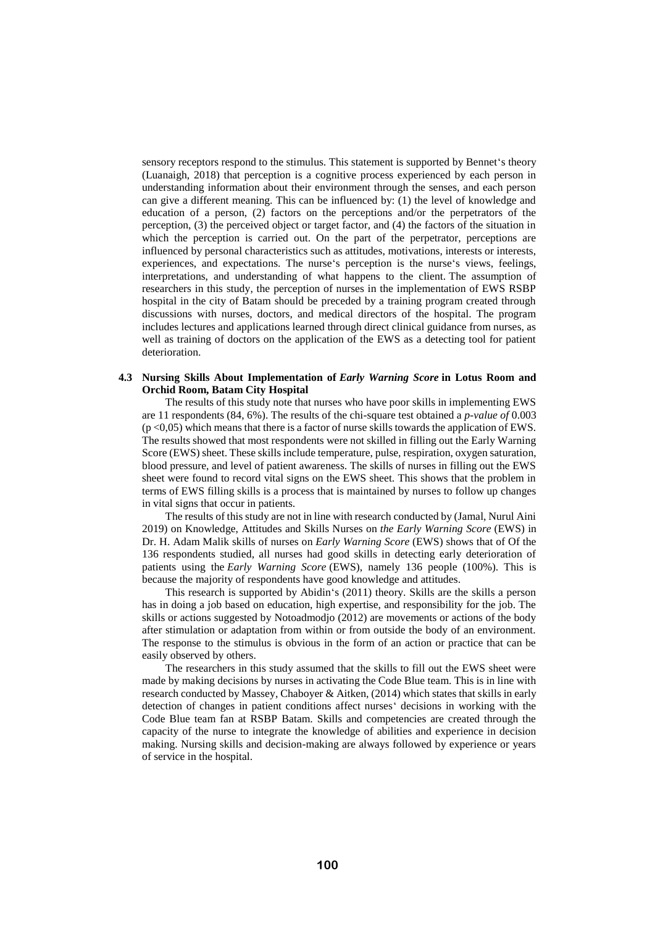sensory receptors respond to the stimulus. This statement is supported by Bennet's theory (Luanaigh, 2018) that perception is a cognitive process experienced by each person in understanding information about their environment through the senses, and each person can give a different meaning. This can be influenced by: (1) the level of knowledge and education of a person, (2) factors on the perceptions and/or the perpetrators of the perception, (3) the perceived object or target factor, and (4) the factors of the situation in which the perception is carried out. On the part of the perpetrator, perceptions are influenced by personal characteristics such as attitudes, motivations, interests or interests, experiences, and expectations. The nurse's perception is the nurse's views, feelings, interpretations, and understanding of what happens to the client. The assumption of researchers in this study, the perception of nurses in the implementation of EWS RSBP hospital in the city of Batam should be preceded by a training program created through discussions with nurses, doctors, and medical directors of the hospital. The program includes lectures and applications learned through direct clinical guidance from nurses, as well as training of doctors on the application of the EWS as a detecting tool for patient deterioration.

#### **4.3 Nursing Skills About Implementation of** *Early Warning Score* **in Lotus Room and Orchid Room, Batam City Hospital**

The results of this study note that nurses who have poor skills in implementing EWS are 11 respondents (84, 6%). The results of the chi-square test obtained a *p-value of* 0.003  $(p<0.05)$  which means that there is a factor of nurse skills towards the application of EWS. The results showed that most respondents were not skilled in filling out the Early Warning Score (EWS) sheet. These skills include temperature, pulse, respiration, oxygen saturation, blood pressure, and level of patient awareness. The skills of nurses in filling out the EWS sheet were found to record vital signs on the EWS sheet. This shows that the problem in terms of EWS filling skills is a process that is maintained by nurses to follow up changes in vital signs that occur in patients.

The results of this study are not in line with research conducted by (Jamal, Nurul Aini 2019) on Knowledge, Attitudes and Skills Nurses on *the Early Warning Score* (EWS) in Dr. H. Adam Malik skills of nurses on *Early Warning Score* (EWS) shows that of Of the 136 respondents studied, all nurses had good skills in detecting early deterioration of patients using the *Early Warning Score* (EWS), namely 136 people (100%). This is because the majority of respondents have good knowledge and attitudes.

This research is supported by Abidin's (2011) theory. Skills are the skills a person has in doing a job based on education, high expertise, and responsibility for the job. The skills or actions suggested by Notoadmodjo (2012) are movements or actions of the body after stimulation or adaptation from within or from outside the body of an environment. The response to the stimulus is obvious in the form of an action or practice that can be easily observed by others.

The researchers in this study assumed that the skills to fill out the EWS sheet were made by making decisions by nurses in activating the Code Blue team. This is in line with research conducted by Massey, Chaboyer & Aitken, (2014) which states that skills in early detection of changes in patient conditions affect nurses' decisions in working with the Code Blue team fan at RSBP Batam. Skills and competencies are created through the capacity of the nurse to integrate the knowledge of abilities and experience in decision making. Nursing skills and decision-making are always followed by experience or years of service in the hospital.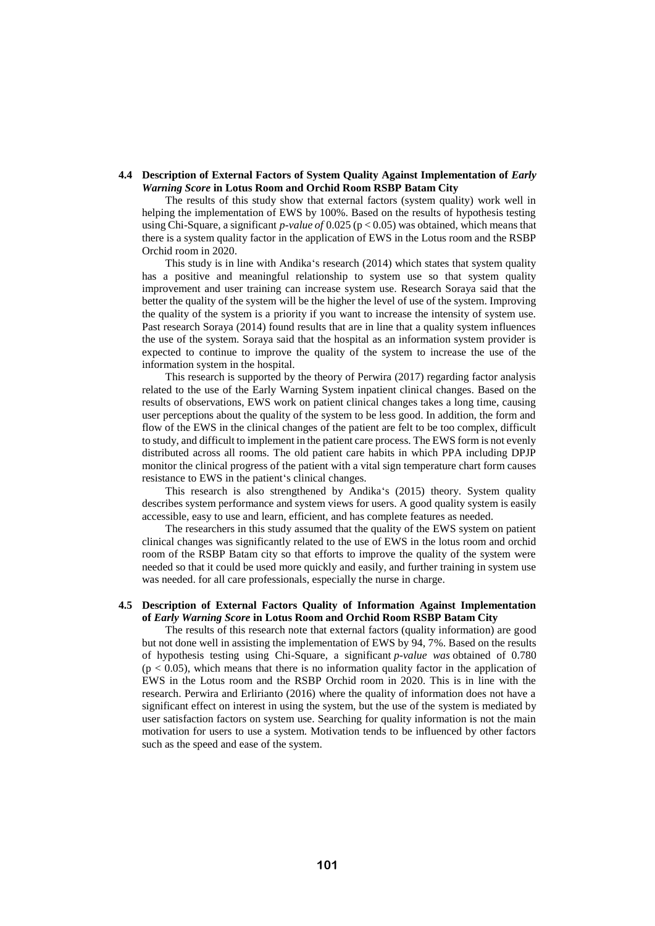#### **4.4 Description of External Factors of System Quality Against Implementation of** *Early Warning Score* **in Lotus Room and Orchid Room RSBP Batam City**

The results of this study show that external factors (system quality) work well in helping the implementation of EWS by 100%. Based on the results of hypothesis testing using Chi-Square, a significant *p-value of* 0.025 (p < 0.05) was obtained, which means that there is a system quality factor in the application of EWS in the Lotus room and the RSBP Orchid room in 2020.

This study is in line with Andika's research (2014) which states that system quality has a positive and meaningful relationship to system use so that system quality improvement and user training can increase system use. Research Soraya said that the better the quality of the system will be the higher the level of use of the system. Improving the quality of the system is a priority if you want to increase the intensity of system use. Past research Soraya (2014) found results that are in line that a quality system influences the use of the system. Soraya said that the hospital as an information system provider is expected to continue to improve the quality of the system to increase the use of the information system in the hospital.

This research is supported by the theory of Perwira (2017) regarding factor analysis related to the use of the Early Warning System inpatient clinical changes. Based on the results of observations, EWS work on patient clinical changes takes a long time, causing user perceptions about the quality of the system to be less good. In addition, the form and flow of the EWS in the clinical changes of the patient are felt to be too complex, difficult to study, and difficult to implement in the patient care process. The EWS form is not evenly distributed across all rooms. The old patient care habits in which PPA including DPJP monitor the clinical progress of the patient with a vital sign temperature chart form causes resistance to EWS in the patient's clinical changes.

This research is also strengthened by Andika's (2015) theory. System quality describes system performance and system views for users. A good quality system is easily accessible, easy to use and learn, efficient, and has complete features as needed.

The researchers in this study assumed that the quality of the EWS system on patient clinical changes was significantly related to the use of EWS in the lotus room and orchid room of the RSBP Batam city so that efforts to improve the quality of the system were needed so that it could be used more quickly and easily, and further training in system use was needed. for all care professionals, especially the nurse in charge.

# **4.5 Description of External Factors Quality of Information Against Implementation of** *Early Warning Score* **in Lotus Room and Orchid Room RSBP Batam City**

The results of this research note that external factors (quality information) are good but not done well in assisting the implementation of EWS by 94, 7%. Based on the results of hypothesis testing using Chi-Square, a significant *p-value was* obtained of 0.780  $(p < 0.05)$ , which means that there is no information quality factor in the application of EWS in the Lotus room and the RSBP Orchid room in 2020. This is in line with the research. Perwira and Erlirianto (2016) where the quality of information does not have a significant effect on interest in using the system, but the use of the system is mediated by user satisfaction factors on system use. Searching for quality information is not the main motivation for users to use a system. Motivation tends to be influenced by other factors such as the speed and ease of the system.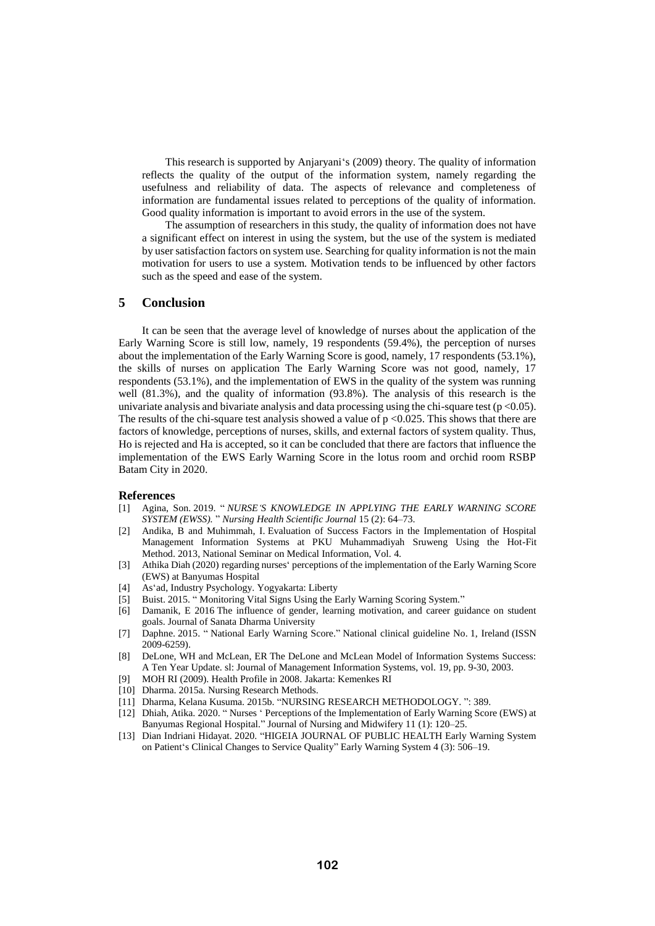This research is supported by Anjaryani's (2009) theory. The quality of information reflects the quality of the output of the information system, namely regarding the usefulness and reliability of data. The aspects of relevance and completeness of information are fundamental issues related to perceptions of the quality of information. Good quality information is important to avoid errors in the use of the system.

The assumption of researchers in this study, the quality of information does not have a significant effect on interest in using the system, but the use of the system is mediated by user satisfaction factors on system use. Searching for quality information is not the main motivation for users to use a system. Motivation tends to be influenced by other factors such as the speed and ease of the system.

# **5 Conclusion**

It can be seen that the average level of knowledge of nurses about the application of the Early Warning Score is still low, namely, 19 respondents (59.4%), the perception of nurses about the implementation of the Early Warning Score is good, namely, 17 respondents (53.1%), the skills of nurses on application The Early Warning Score was not good, namely, 17 respondents (53.1%), and the implementation of EWS in the quality of the system was running well (81.3%), and the quality of information (93.8%). The analysis of this research is the univariate analysis and bivariate analysis and data processing using the chi-square test ( $p < 0.05$ ). The results of the chi-square test analysis showed a value of  $p \le 0.025$ . This shows that there are factors of knowledge, perceptions of nurses, skills, and external factors of system quality. Thus, Ho is rejected and Ha is accepted, so it can be concluded that there are factors that influence the implementation of the EWS Early Warning Score in the lotus room and orchid room RSBP Batam City in 2020.

#### **References**

- [1] Agina, Son. 2019. " *NURSE'S KNOWLEDGE IN APPLYING THE EARLY WARNING SCORE SYSTEM (EWSS).* " *Nursing Health Scientific Journal* 15 (2): 64–73.
- [2] Andika, B and Muhimmah, I. Evaluation of Success Factors in the Implementation of Hospital Management Information Systems at PKU Muhammadiyah Sruweng Using the Hot-Fit Method. 2013, National Seminar on Medical Information, Vol. 4.
- [3] Athika Diah (2020) regarding nurses' perceptions of the implementation of the Early Warning Score (EWS) at Banyumas Hospital
- [4] As'ad, Industry Psychology. Yogyakarta: Liberty
- [5] Buist. 2015. " Monitoring Vital Signs Using the Early Warning Scoring System."
- [6] Damanik, E 2016 The influence of gender, learning motivation, and career guidance on student goals. Journal of Sanata Dharma University
- [7] Daphne. 2015. " National Early Warning Score." National clinical guideline No. 1, Ireland (ISSN 2009-6259).
- [8] DeLone, WH and McLean, ER The DeLone and McLean Model of Information Systems Success: A Ten Year Update. sl: Journal of Management Information Systems, vol. 19, pp. 9-30, 2003.
- [9] MOH RI (2009). Health Profile in 2008. Jakarta: Kemenkes RI
- [10] Dharma. 2015a. Nursing Research Methods.
- [11] Dharma, Kelana Kusuma. 2015b. "NURSING RESEARCH METHODOLOGY. ": 389.
- [12] Dhiah, Atika. 2020. " Nurses ' Perceptions of the Implementation of Early Warning Score (EWS) at Banyumas Regional Hospital." Journal of Nursing and Midwifery 11 (1): 120–25.
- [13] Dian Indriani Hidayat. 2020. "HIGEIA JOURNAL OF PUBLIC HEALTH Early Warning System on Patient's Clinical Changes to Service Quality" Early Warning System 4 (3): 506–19.